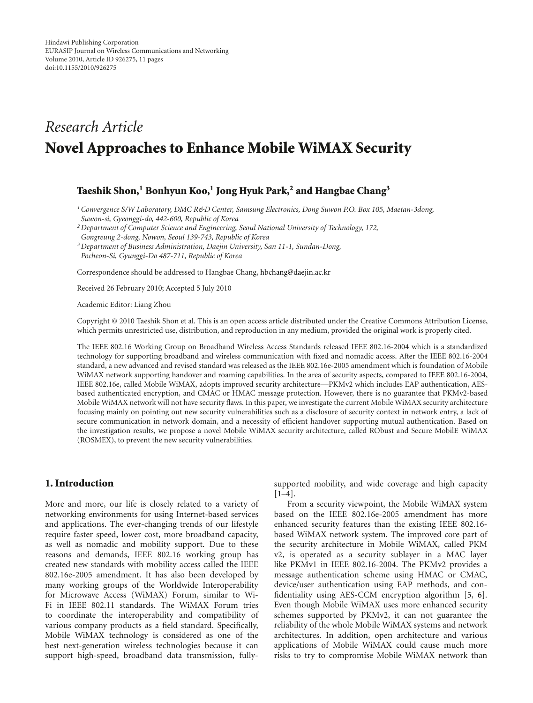# *Research Article* **Novel Approaches to Enhance Mobile WiMAX Security**

# **Taeshik Shon,1 Bonhyun Koo,1 Jong Hyuk Park,2 and Hangbae Chang3**

*1Convergence S/W Laboratory, DMC R&D Center, Samsung Electronics, Dong Suwon P.O. Box 105, Maetan-3dong,*

*Suwon-si, Gyeonggi-do, 442-600, Republic of Korea*

*2Department of Computer Science and Engineering, Seoul National University of Technology, 172,*

*Gongreung 2-dong, Nowon, Seoul 139-743, Republic of Korea*

*3Department of Business Administration, Daejin University, San 11-1, Sundan-Dong,*

*Pocheon-Si, Gyunggi-Do 487-711, Republic of Korea*

Correspondence should be addressed to Hangbae Chang, hbchang@daejin.ac.kr

Received 26 February 2010; Accepted 5 July 2010

Academic Editor: Liang Zhou

Copyright © 2010 Taeshik Shon et al. This is an open access article distributed under the Creative Commons Attribution License, which permits unrestricted use, distribution, and reproduction in any medium, provided the original work is properly cited.

The IEEE 802.16 Working Group on Broadband Wireless Access Standards released IEEE 802.16-2004 which is a standardized technology for supporting broadband and wireless communication with fixed and nomadic access. After the IEEE 802.16-2004 standard, a new advanced and revised standard was released as the IEEE 802.16e-2005 amendment which is foundation of Mobile WiMAX network supporting handover and roaming capabilities. In the area of security aspects, compared to IEEE 802.16-2004, IEEE 802.16e, called Mobile WiMAX, adopts improved security architecture—PKMv2 which includes EAP authentication, AESbased authenticated encryption, and CMAC or HMAC message protection. However, there is no guarantee that PKMv2-based Mobile WiMAX network will not have security flaws. In this paper, we investigate the current Mobile WiMAX security architecture focusing mainly on pointing out new security vulnerabilities such as a disclosure of security context in network entry, a lack of secure communication in network domain, and a necessity of efficient handover supporting mutual authentication. Based on the investigation results, we propose a novel Mobile WiMAX security architecture, called RObust and Secure MobilE WiMAX (ROSMEX), to prevent the new security vulnerabilities.

# **1. Introduction**

More and more, our life is closely related to a variety of networking environments for using Internet-based services and applications. The ever-changing trends of our lifestyle require faster speed, lower cost, more broadband capacity, as well as nomadic and mobility support. Due to these reasons and demands, IEEE 802.16 working group has created new standards with mobility access called the IEEE 802.16e-2005 amendment. It has also been developed by many working groups of the Worldwide Interoperability for Microwave Access (WiMAX) Forum, similar to Wi-Fi in IEEE 802.11 standards. The WiMAX Forum tries to coordinate the interoperability and compatibility of various company products as a field standard. Specifically, Mobile WiMAX technology is considered as one of the best next-generation wireless technologies because it can support high-speed, broadband data transmission, fullysupported mobility, and wide coverage and high capacity  $[1-4]$ .

From a security viewpoint, the Mobile WiMAX system based on the IEEE 802.16e-2005 amendment has more enhanced security features than the existing IEEE 802.16 based WiMAX network system. The improved core part of the security architecture in Mobile WiMAX, called PKM v2, is operated as a security sublayer in a MAC layer like PKMv1 in IEEE 802.16-2004. The PKMv2 provides a message authentication scheme using HMAC or CMAC, device/user authentication using EAP methods, and confidentiality using AES-CCM encryption algorithm [5, 6]. Even though Mobile WiMAX uses more enhanced security schemes supported by PKMv2, it can not guarantee the reliability of the whole Mobile WiMAX systems and network architectures. In addition, open architecture and various applications of Mobile WiMAX could cause much more risks to try to compromise Mobile WiMAX network than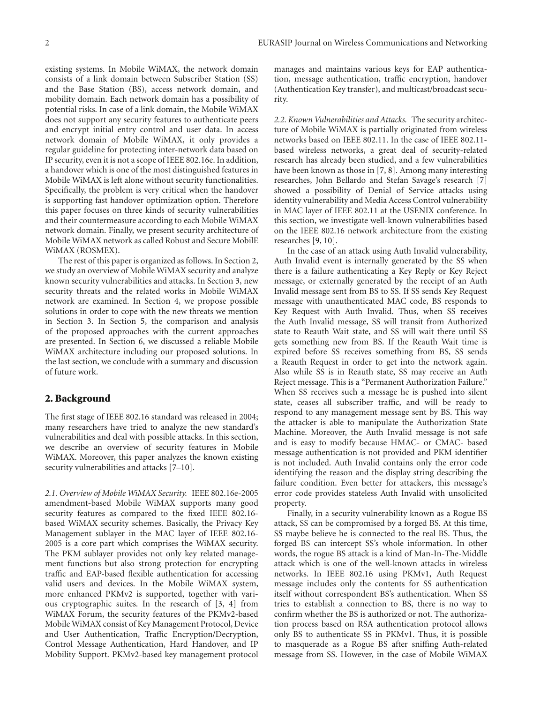existing systems. In Mobile WiMAX, the network domain consists of a link domain between Subscriber Station (SS) and the Base Station (BS), access network domain, and mobility domain. Each network domain has a possibility of potential risks. In case of a link domain, the Mobile WiMAX does not support any security features to authenticate peers and encrypt initial entry control and user data. In access network domain of Mobile WiMAX, it only provides a regular guideline for protecting inter-network data based on IP security, even it is not a scope of IEEE 802.16e. In addition, a handover which is one of the most distinguished features in Mobile WiMAX is left alone without security functionalities. Specifically, the problem is very critical when the handover is supporting fast handover optimization option. Therefore this paper focuses on three kinds of security vulnerabilities and their countermeasure according to each Mobile WiMAX network domain. Finally, we present security architecture of Mobile WiMAX network as called Robust and Secure MobilE WiMAX (ROSMEX).

The rest of this paper is organized as follows. In Section 2, we study an overview of Mobile WiMAX security and analyze known security vulnerabilities and attacks. In Section 3, new security threats and the related works in Mobile WiMAX network are examined. In Section 4, we propose possible solutions in order to cope with the new threats we mention in Section 3. In Section 5, the comparison and analysis of the proposed approaches with the current approaches are presented. In Section 6, we discussed a reliable Mobile WiMAX architecture including our proposed solutions. In the last section, we conclude with a summary and discussion of future work.

## **2. Background**

The first stage of IEEE 802.16 standard was released in 2004; many researchers have tried to analyze the new standard's vulnerabilities and deal with possible attacks. In this section, we describe an overview of security features in Mobile WiMAX. Moreover, this paper analyzes the known existing security vulnerabilities and attacks [7–10].

*2.1. Overview of Mobile WiMAX Security.* IEEE 802.16e-2005 amendment-based Mobile WiMAX supports many good security features as compared to the fixed IEEE 802.16 based WiMAX security schemes. Basically, the Privacy Key Management sublayer in the MAC layer of IEEE 802.16- 2005 is a core part which comprises the WiMAX security. The PKM sublayer provides not only key related management functions but also strong protection for encrypting traffic and EAP-based flexible authentication for accessing valid users and devices. In the Mobile WiMAX system, more enhanced PKMv2 is supported, together with various cryptographic suites. In the research of [3, 4] from WiMAX Forum, the security features of the PKMv2-based Mobile WiMAX consist of Key Management Protocol, Device and User Authentication, Traffic Encryption/Decryption, Control Message Authentication, Hard Handover, and IP Mobility Support. PKMv2-based key management protocol

manages and maintains various keys for EAP authentication, message authentication, traffic encryption, handover (Authentication Key transfer), and multicast/broadcast security.

*2.2. Known Vulnerabilities and Attacks.* The security architecture of Mobile WiMAX is partially originated from wireless networks based on IEEE 802.11. In the case of IEEE 802.11 based wireless networks, a great deal of security-related research has already been studied, and a few vulnerabilities have been known as those in [7, 8]. Among many interesting researches, John Bellardo and Stefan Savage's research [7] showed a possibility of Denial of Service attacks using identity vulnerability and Media Access Control vulnerability in MAC layer of IEEE 802.11 at the USENIX conference. In this section, we investigate well-known vulnerabilities based on the IEEE 802.16 network architecture from the existing researches [9, 10].

In the case of an attack using Auth Invalid vulnerability, Auth Invalid event is internally generated by the SS when there is a failure authenticating a Key Reply or Key Reject message, or externally generated by the receipt of an Auth Invalid message sent from BS to SS. If SS sends Key Request message with unauthenticated MAC code, BS responds to Key Request with Auth Invalid. Thus, when SS receives the Auth Invalid message, SS will transit from Authorized state to Reauth Wait state, and SS will wait there until SS gets something new from BS. If the Reauth Wait time is expired before SS receives something from BS, SS sends a Reauth Request in order to get into the network again. Also while SS is in Reauth state, SS may receive an Auth Reject message. This is a "Permanent Authorization Failure." When SS receives such a message he is pushed into silent state, ceases all subscriber traffic, and will be ready to respond to any management message sent by BS. This way the attacker is able to manipulate the Authorization State Machine. Moreover, the Auth Invalid message is not safe and is easy to modify because HMAC- or CMAC- based message authentication is not provided and PKM identifier is not included. Auth Invalid contains only the error code identifying the reason and the display string describing the failure condition. Even better for attackers, this message's error code provides stateless Auth Invalid with unsolicited property.

Finally, in a security vulnerability known as a Rogue BS attack, SS can be compromised by a forged BS. At this time, SS maybe believe he is connected to the real BS. Thus, the forged BS can intercept SS's whole information. In other words, the rogue BS attack is a kind of Man-In-The-Middle attack which is one of the well-known attacks in wireless networks. In IEEE 802.16 using PKMv1, Auth Request message includes only the contents for SS authentication itself without correspondent BS's authentication. When SS tries to establish a connection to BS, there is no way to confirm whether the BS is authorized or not. The authorization process based on RSA authentication protocol allows only BS to authenticate SS in PKMv1. Thus, it is possible to masquerade as a Rogue BS after sniffing Auth-related message from SS. However, in the case of Mobile WiMAX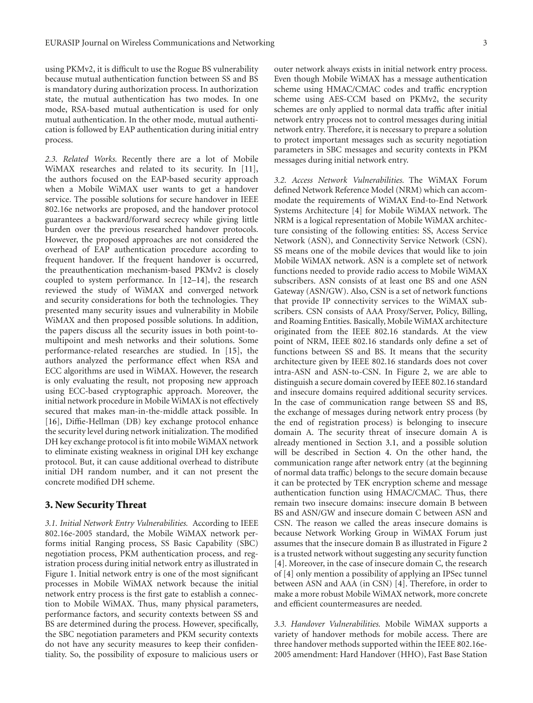using PKMv2, it is difficult to use the Rogue BS vulnerability because mutual authentication function between SS and BS is mandatory during authorization process. In authorization state, the mutual authentication has two modes. In one mode, RSA-based mutual authentication is used for only mutual authentication. In the other mode, mutual authentication is followed by EAP authentication during initial entry process.

*2.3. Related Works.* Recently there are a lot of Mobile WiMAX researches and related to its security. In [11], the authors focused on the EAP-based security approach when a Mobile WiMAX user wants to get a handover service. The possible solutions for secure handover in IEEE 802.16e networks are proposed, and the handover protocol guarantees a backward/forward secrecy while giving little burden over the previous researched handover protocols. However, the proposed approaches are not considered the overhead of EAP authentication procedure according to frequent handover. If the frequent handover is occurred, the preauthentication mechanism-based PKMv2 is closely coupled to system performance. In [12–14], the research reviewed the study of WiMAX and converged network and security considerations for both the technologies. They presented many security issues and vulnerability in Mobile WiMAX and then proposed possible solutions. In addition, the papers discuss all the security issues in both point-tomultipoint and mesh networks and their solutions. Some performance-related researches are studied. In [15], the authors analyzed the performance effect when RSA and ECC algorithms are used in WiMAX. However, the research is only evaluating the result, not proposing new approach using ECC-based cryptographic approach. Moreover, the initial network procedure in Mobile WiMAX is not effectively secured that makes man-in-the-middle attack possible. In [16], Diffie-Hellman (DB) key exchange protocol enhance the security level during network initialization. The modified DH key exchange protocol is fit into mobile WiMAX network to eliminate existing weakness in original DH key exchange protocol. But, it can cause additional overhead to distribute initial DH random number, and it can not present the concrete modified DH scheme.

#### **3. New Security Threat**

*3.1. Initial Network Entry Vulnerabilities.* According to IEEE 802.16e-2005 standard, the Mobile WiMAX network performs initial Ranging process, SS Basic Capability (SBC) negotiation process, PKM authentication process, and registration process during initial network entry as illustrated in Figure 1. Initial network entry is one of the most significant processes in Mobile WiMAX network because the initial network entry process is the first gate to establish a connection to Mobile WiMAX. Thus, many physical parameters, performance factors, and security contexts between SS and BS are determined during the process. However, specifically, the SBC negotiation parameters and PKM security contexts do not have any security measures to keep their confidentiality. So, the possibility of exposure to malicious users or outer network always exists in initial network entry process. Even though Mobile WiMAX has a message authentication scheme using HMAC/CMAC codes and traffic encryption scheme using AES-CCM based on PKMv2, the security schemes are only applied to normal data traffic after initial network entry process not to control messages during initial network entry. Therefore, it is necessary to prepare a solution to protect important messages such as security negotiation parameters in SBC messages and security contexts in PKM messages during initial network entry.

*3.2. Access Network Vulnerabilities.* The WiMAX Forum defined Network Reference Model (NRM) which can accommodate the requirements of WiMAX End-to-End Network Systems Architecture [4] for Mobile WiMAX network. The NRM is a logical representation of Mobile WiMAX architecture consisting of the following entities: SS, Access Service Network (ASN), and Connectivity Service Network (CSN). SS means one of the mobile devices that would like to join Mobile WiMAX network. ASN is a complete set of network functions needed to provide radio access to Mobile WiMAX subscribers. ASN consists of at least one BS and one ASN Gateway (ASN/GW). Also, CSN is a set of network functions that provide IP connectivity services to the WiMAX subscribers. CSN consists of AAA Proxy/Server, Policy, Billing, and Roaming Entities. Basically, Mobile WiMAX architecture originated from the IEEE 802.16 standards. At the view point of NRM, IEEE 802.16 standards only define a set of functions between SS and BS. It means that the security architecture given by IEEE 802.16 standards does not cover intra-ASN and ASN-to-CSN. In Figure 2, we are able to distinguish a secure domain covered by IEEE 802.16 standard and insecure domains required additional security services. In the case of communication range between SS and BS, the exchange of messages during network entry process (by the end of registration process) is belonging to insecure domain A. The security threat of insecure domain A is already mentioned in Section 3.1, and a possible solution will be described in Section 4. On the other hand, the communication range after network entry (at the beginning of normal data traffic) belongs to the secure domain because it can be protected by TEK encryption scheme and message authentication function using HMAC/CMAC. Thus, there remain two insecure domains: insecure domain B between BS and ASN/GW and insecure domain C between ASN and CSN. The reason we called the areas insecure domains is because Network Working Group in WiMAX Forum just assumes that the insecure domain B as illustrated in Figure 2 is a trusted network without suggesting any security function [4]. Moreover, in the case of insecure domain C, the research of [4] only mention a possibility of applying an IPSec tunnel between ASN and AAA (in CSN) [4]. Therefore, in order to make a more robust Mobile WiMAX network, more concrete and efficient countermeasures are needed.

*3.3. Handover Vulnerabilities.* Mobile WiMAX supports a variety of handover methods for mobile access. There are three handover methods supported within the IEEE 802.16e-2005 amendment: Hard Handover (HHO), Fast Base Station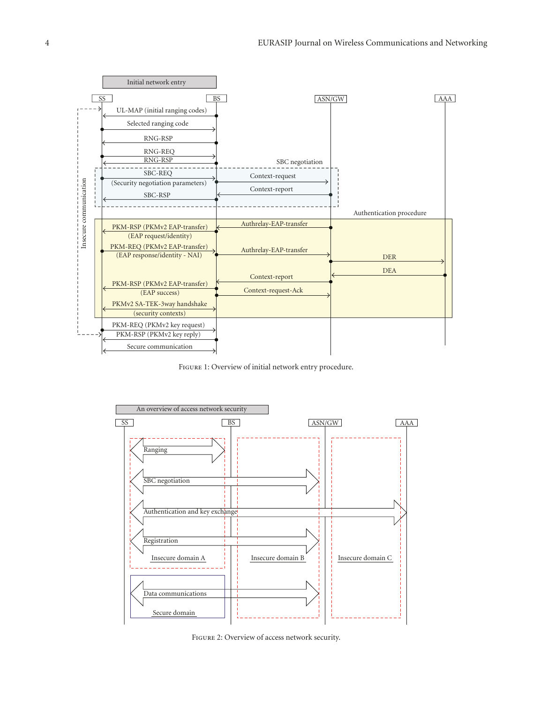

FIGURE 1: Overview of initial network entry procedure.



Figure 2: Overview of access network security.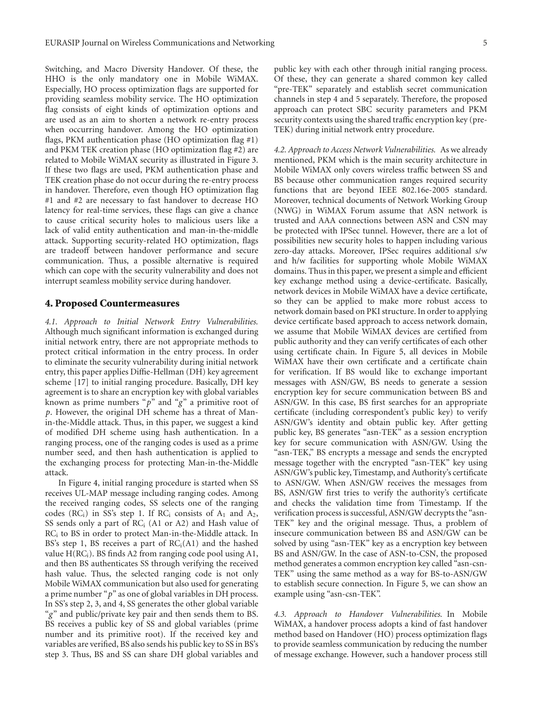Switching, and Macro Diversity Handover. Of these, the HHO is the only mandatory one in Mobile WiMAX. Especially, HO process optimization flags are supported for providing seamless mobility service. The HO optimization flag consists of eight kinds of optimization options and are used as an aim to shorten a network re-entry process when occurring handover. Among the HO optimization flags, PKM authentication phase (HO optimization flag #1) and PKM TEK creation phase (HO optimization flag #2) are related to Mobile WiMAX security as illustrated in Figure 3. If these two flags are used, PKM authentication phase and TEK creation phase do not occur during the re-entry process in handover. Therefore, even though HO optimization flag #1 and #2 are necessary to fast handover to decrease HO latency for real-time services, these flags can give a chance to cause critical security holes to malicious users like a lack of valid entity authentication and man-in-the-middle attack. Supporting security-related HO optimization, flags are tradeoff between handover performance and secure communication. Thus, a possible alternative is required which can cope with the security vulnerability and does not interrupt seamless mobility service during handover.

#### **4. Proposed Countermeasures**

*4.1. Approach to Initial Network Entry Vulnerabilities.* Although much significant information is exchanged during initial network entry, there are not appropriate methods to protect critical information in the entry process. In order to eliminate the security vulnerability during initial network entry, this paper applies Diffie-Hellman (DH) key agreement scheme [17] to initial ranging procedure. Basically, DH key agreement is to share an encryption key with global variables known as prime numbers "*p*" and "*g*" a primitive root of *p*. However, the original DH scheme has a threat of Manin-the-Middle attack. Thus, in this paper, we suggest a kind of modified DH scheme using hash authentication. In a ranging process, one of the ranging codes is used as a prime number seed, and then hash authentication is applied to the exchanging process for protecting Man-in-the-Middle attack.

In Figure 4, initial ranging procedure is started when SS receives UL-MAP message including ranging codes. Among the received ranging codes, SS selects one of the ranging codes (RC<sub>i</sub>) in SS's step 1. If RC<sub>i</sub> consists of  $A_1$  and  $A_2$ , SS sends only a part of  $RC<sub>i</sub>$  (A1 or A2) and Hash value of RC<sub>i</sub> to BS in order to protect Man-in-the-Middle attack. In BS's step 1, BS receives a part of  $RC<sub>i</sub>(A1)$  and the hashed value H(RC<sub>i</sub>). BS finds A2 from ranging code pool using A1, and then BS authenticates SS through verifying the received hash value. Thus, the selected ranging code is not only Mobile WiMAX communication but also used for generating a prime number "*p*" as one of global variables in DH process. In SS's step 2, 3, and 4, SS generates the other global variable "*g*" and public/private key pair and then sends them to BS. BS receives a public key of SS and global variables (prime number and its primitive root). If the received key and variables are verified, BS also sends his public key to SS in BS's step 3. Thus, BS and SS can share DH global variables and

public key with each other through initial ranging process. Of these, they can generate a shared common key called "pre-TEK" separately and establish secret communication channels in step 4 and 5 separately. Therefore, the proposed approach can protect SBC security parameters and PKM security contexts using the shared traffic encryption key (pre-TEK) during initial network entry procedure.

*4.2. Approach to Access Network Vulnerabilities.* As we already mentioned, PKM which is the main security architecture in Mobile WiMAX only covers wireless traffic between SS and BS because other communication ranges required security functions that are beyond IEEE 802.16e-2005 standard. Moreover, technical documents of Network Working Group (NWG) in WiMAX Forum assume that ASN network is trusted and AAA connections between ASN and CSN may be protected with IPSec tunnel. However, there are a lot of possibilities new security holes to happen including various zero-day attacks. Moreover, IPSec requires additional s/w and h/w facilities for supporting whole Mobile WiMAX domains. Thus in this paper, we present a simple and efficient key exchange method using a device-certificate. Basically, network devices in Mobile WiMAX have a device certificate, so they can be applied to make more robust access to network domain based on PKI structure. In order to applying device certificate based approach to access network domain, we assume that Mobile WiMAX devices are certified from public authority and they can verify certificates of each other using certificate chain. In Figure 5, all devices in Mobile WiMAX have their own certificate and a certificate chain for verification. If BS would like to exchange important messages with ASN/GW, BS needs to generate a session encryption key for secure communication between BS and ASN/GW. In this case, BS first searches for an appropriate certificate (including correspondent's public key) to verify ASN/GW's identity and obtain public key. After getting public key, BS generates "asn-TEK" as a session encryption key for secure communication with ASN/GW. Using the "asn-TEK," BS encrypts a message and sends the encrypted message together with the encrypted "asn-TEK" key using ASN/GW's public key, Timestamp, and Authority's certificate to ASN/GW. When ASN/GW receives the messages from BS, ASN/GW first tries to verify the authority's certificate and checks the validation time from Timestamp. If the verification process is successful, ASN/GW decrypts the "asn-TEK" key and the original message. Thus, a problem of insecure communication between BS and ASN/GW can be solved by using "asn-TEK" key as a encryption key between BS and ASN/GW. In the case of ASN-to-CSN, the proposed method generates a common encryption key called "asn-csn-TEK" using the same method as a way for BS-to-ASN/GW to establish secure connection. In Figure 5, we can show an example using "asn-csn-TEK".

*4.3. Approach to Handover Vulnerabilities.* In Mobile WiMAX, a handover process adopts a kind of fast handover method based on Handover (HO) process optimization flags to provide seamless communication by reducing the number of message exchange. However, such a handover process still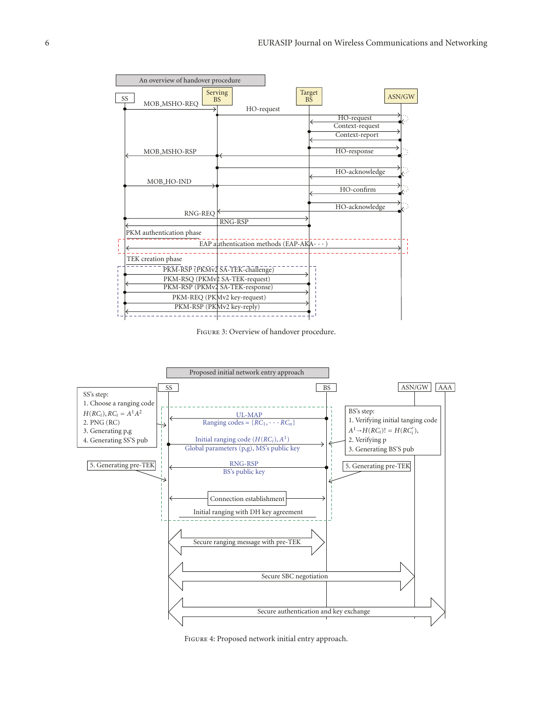

Figure 3: Overview of handover procedure.



Figure 4: Proposed network initial entry approach.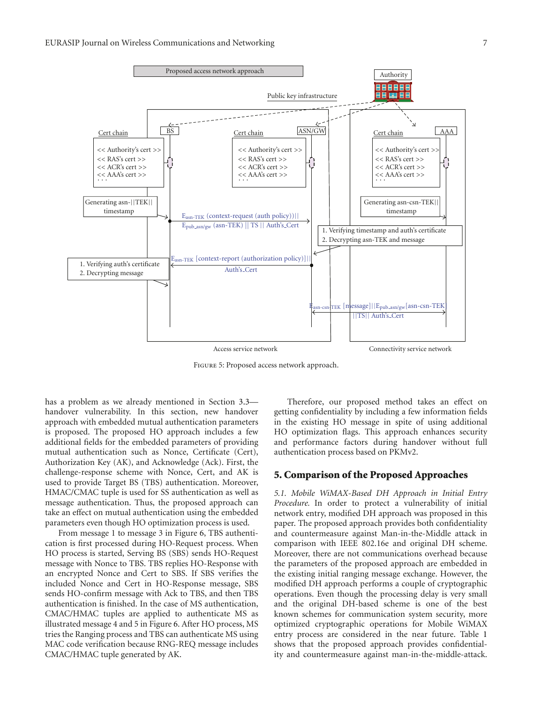

Figure 5: Proposed access network approach.

has a problem as we already mentioned in Section 3.3 handover vulnerability. In this section, new handover approach with embedded mutual authentication parameters is proposed. The proposed HO approach includes a few additional fields for the embedded parameters of providing mutual authentication such as Nonce, Certificate (Cert), Authorization Key (AK), and Acknowledge (Ack). First, the challenge-response scheme with Nonce, Cert, and AK is used to provide Target BS (TBS) authentication. Moreover, HMAC/CMAC tuple is used for SS authentication as well as message authentication. Thus, the proposed approach can take an effect on mutual authentication using the embedded parameters even though HO optimization process is used.

From message 1 to message 3 in Figure 6, TBS authentication is first processed during HO-Request process. When HO process is started, Serving BS (SBS) sends HO-Request message with Nonce to TBS. TBS replies HO-Response with an encrypted Nonce and Cert to SBS. If SBS verifies the included Nonce and Cert in HO-Response message, SBS sends HO-confirm message with Ack to TBS, and then TBS authentication is finished. In the case of MS authentication, CMAC/HMAC tuples are applied to authenticate MS as illustrated message 4 and 5 in Figure 6. After HO process, MS tries the Ranging process and TBS can authenticate MS using MAC code verification because RNG-REQ message includes CMAC/HMAC tuple generated by AK.

Therefore, our proposed method takes an effect on getting confidentiality by including a few information fields in the existing HO message in spite of using additional HO optimization flags. This approach enhances security and performance factors during handover without full authentication process based on PKMv2.

#### **5. Comparison of the Proposed Approaches**

*5.1. Mobile WiMAX-Based DH Approach in Initial Entry Procedure.* In order to protect a vulnerability of initial network entry, modified DH approach was proposed in this paper. The proposed approach provides both confidentiality and countermeasure against Man-in-the-Middle attack in comparison with IEEE 802.16e and original DH scheme. Moreover, there are not communications overhead because the parameters of the proposed approach are embedded in the existing initial ranging message exchange. However, the modified DH approach performs a couple of cryptographic operations. Even though the processing delay is very small and the original DH-based scheme is one of the best known schemes for communication system security, more optimized cryptographic operations for Mobile WiMAX entry process are considered in the near future. Table 1 shows that the proposed approach provides confidentiality and countermeasure against man-in-the-middle-attack.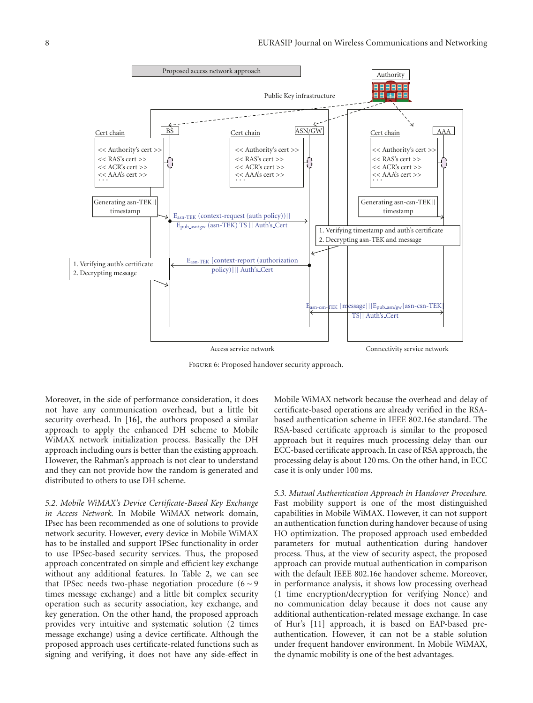

Figure 6: Proposed handover security approach.

Moreover, in the side of performance consideration, it does not have any communication overhead, but a little bit security overhead. In [16], the authors proposed a similar approach to apply the enhanced DH scheme to Mobile WiMAX network initialization process. Basically the DH approach including ours is better than the existing approach. However, the Rahman's approach is not clear to understand and they can not provide how the random is generated and distributed to others to use DH scheme.

*5.2. Mobile WiMAX's Device Certificate-Based Key Exchange in Access Network.* In Mobile WiMAX network domain, IPsec has been recommended as one of solutions to provide network security. However, every device in Mobile WiMAX has to be installed and support IPSec functionality in order to use IPSec-based security services. Thus, the proposed approach concentrated on simple and efficient key exchange without any additional features. In Table 2, we can see that IPSec needs two-phase negotiation procedure ( $6 \sim 9$ times message exchange) and a little bit complex security operation such as security association, key exchange, and key generation. On the other hand, the proposed approach provides very intuitive and systematic solution (2 times message exchange) using a device certificate. Although the proposed approach uses certificate-related functions such as signing and verifying, it does not have any side-effect in

Mobile WiMAX network because the overhead and delay of certificate-based operations are already verified in the RSAbased authentication scheme in IEEE 802.16e standard. The RSA-based certificate approach is similar to the proposed approach but it requires much processing delay than our ECC-based certificate approach. In case of RSA approach, the processing delay is about 120 ms. On the other hand, in ECC case it is only under 100 ms.

*5.3. Mutual Authentication Approach in Handover Procedure.* Fast mobility support is one of the most distinguished capabilities in Mobile WiMAX. However, it can not support an authentication function during handover because of using HO optimization. The proposed approach used embedded parameters for mutual authentication during handover process. Thus, at the view of security aspect, the proposed approach can provide mutual authentication in comparison with the default IEEE 802.16e handover scheme. Moreover, in performance analysis, it shows low processing overhead (1 time encryption/decryption for verifying Nonce) and no communication delay because it does not cause any additional authentication-related message exchange. In case of Hur's [11] approach, it is based on EAP-based preauthentication. However, it can not be a stable solution under frequent handover environment. In Mobile WiMAX, the dynamic mobility is one of the best advantages.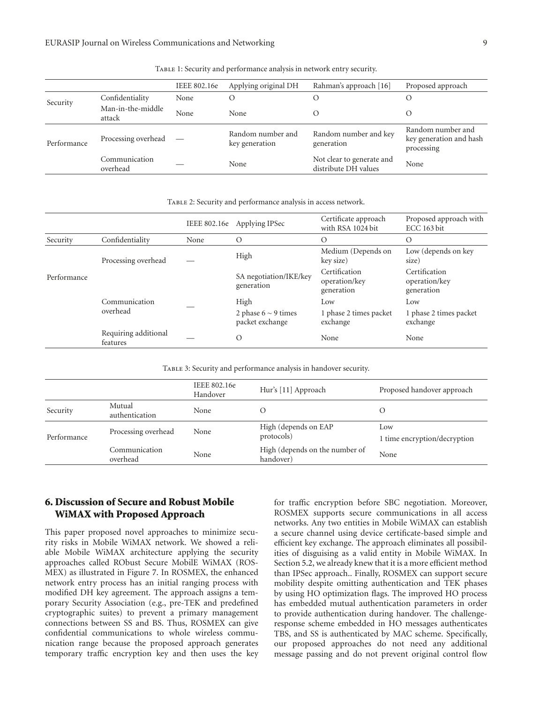|             |                             | IEEE 802.16e | Applying original DH                | Rahman's approach [16]                            | Proposed approach                                          |
|-------------|-----------------------------|--------------|-------------------------------------|---------------------------------------------------|------------------------------------------------------------|
| Security    | Confidentiality             | None         | 0                                   |                                                   |                                                            |
|             | Man-in-the-middle<br>attack | None         | None                                | O                                                 |                                                            |
| Performance | Processing overhead —       |              | Random number and<br>key generation | Random number and key<br>generation               | Random number and<br>key generation and hash<br>processing |
|             | Communication<br>overhead   |              | None                                | Not clear to generate and<br>distribute DH values | None                                                       |
|             |                             |              |                                     |                                                   |                                                            |

Table 1: Security and performance analysis in network entry security.

Table 2: Security and performance analysis in access network.

|             |                                  |      | IEEE 802.16e Applying IPSec                 | Certificate approach<br>with RSA 1024 bit    | Proposed approach with<br>ECC 163 bit        |
|-------------|----------------------------------|------|---------------------------------------------|----------------------------------------------|----------------------------------------------|
| Security    | Confidentiality                  | None | O                                           | $\circ$                                      | Ω                                            |
|             | Processing overhead              |      | High                                        | Medium (Depends on<br>key size)              | Low (depends on key<br>size)                 |
| Performance |                                  |      | SA negotiation/IKE/key<br>generation        | Certification<br>operation/key<br>generation | Certification<br>operation/key<br>generation |
|             | Communication<br>overhead        |      | High                                        | Low                                          | Low                                          |
|             |                                  |      | 2 phase $6 \sim 9$ times<br>packet exchange | 1 phase 2 times packet<br>exchange           | 1 phase 2 times packet<br>exchange           |
|             | Requiring additional<br>features |      | О                                           | None                                         | None                                         |

Table 3: Security and performance analysis in handover security.

|             |                           | IEEE 802.16e<br>Handover | Hur's [11] Approach                         | Proposed handover approach   |
|-------------|---------------------------|--------------------------|---------------------------------------------|------------------------------|
| Security    | Mutual<br>authentication  | None                     |                                             |                              |
|             | Processing overhead       | None                     | High (depends on EAP                        | Low                          |
| Performance |                           |                          | protocols)                                  | 1 time encryption/decryption |
|             | Communication<br>overhead | None                     | High (depends on the number of<br>handover) | None                         |

# **6. Discussion of Secure and Robust Mobile WiMAX with Proposed Approach**

This paper proposed novel approaches to minimize security risks in Mobile WiMAX network. We showed a reliable Mobile WiMAX architecture applying the security approaches called RObust Secure MobilE WiMAX (ROS-MEX) as illustrated in Figure 7. In ROSMEX, the enhanced network entry process has an initial ranging process with modified DH key agreement. The approach assigns a temporary Security Association (e.g., pre-TEK and predefined cryptographic suites) to prevent a primary management connections between SS and BS. Thus, ROSMEX can give confidential communications to whole wireless communication range because the proposed approach generates temporary traffic encryption key and then uses the key

for traffic encryption before SBC negotiation. Moreover, ROSMEX supports secure communications in all access networks. Any two entities in Mobile WiMAX can establish a secure channel using device certificate-based simple and efficient key exchange. The approach eliminates all possibilities of disguising as a valid entity in Mobile WiMAX. In Section 5.2, we already knew that it is a more efficient method than IPSec approach.. Finally, ROSMEX can support secure mobility despite omitting authentication and TEK phases by using HO optimization flags. The improved HO process has embedded mutual authentication parameters in order to provide authentication during handover. The challengeresponse scheme embedded in HO messages authenticates TBS, and SS is authenticated by MAC scheme. Specifically, our proposed approaches do not need any additional message passing and do not prevent original control flow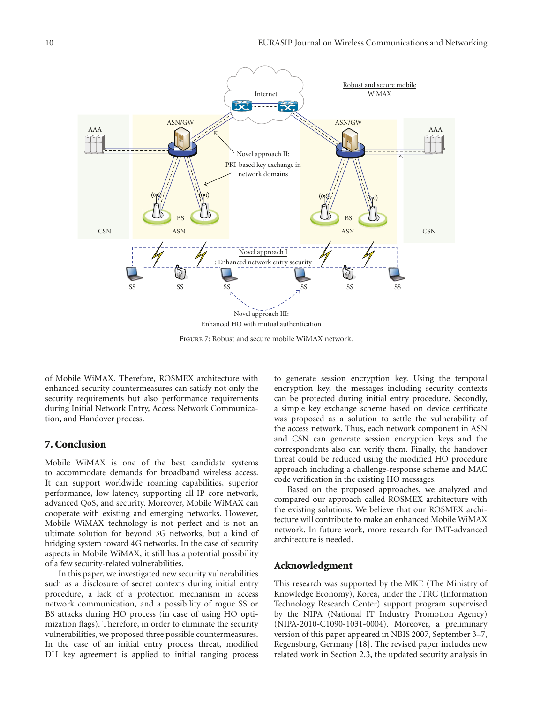

Figure 7: Robust and secure mobile WiMAX network.

of Mobile WiMAX. Therefore, ROSMEX architecture with enhanced security countermeasures can satisfy not only the security requirements but also performance requirements during Initial Network Entry, Access Network Communication, and Handover process.

## **7. Conclusion**

Mobile WiMAX is one of the best candidate systems to accommodate demands for broadband wireless access. It can support worldwide roaming capabilities, superior performance, low latency, supporting all-IP core network, advanced QoS, and security. Moreover, Mobile WiMAX can cooperate with existing and emerging networks. However, Mobile WiMAX technology is not perfect and is not an ultimate solution for beyond 3G networks, but a kind of bridging system toward 4G networks. In the case of security aspects in Mobile WiMAX, it still has a potential possibility of a few security-related vulnerabilities.

In this paper, we investigated new security vulnerabilities such as a disclosure of secret contexts during initial entry procedure, a lack of a protection mechanism in access network communication, and a possibility of rogue SS or BS attacks during HO process (in case of using HO optimization flags). Therefore, in order to eliminate the security vulnerabilities, we proposed three possible countermeasures. In the case of an initial entry process threat, modified DH key agreement is applied to initial ranging process

to generate session encryption key. Using the temporal encryption key, the messages including security contexts can be protected during initial entry procedure. Secondly, a simple key exchange scheme based on device certificate was proposed as a solution to settle the vulnerability of the access network. Thus, each network component in ASN and CSN can generate session encryption keys and the correspondents also can verify them. Finally, the handover threat could be reduced using the modified HO procedure approach including a challenge-response scheme and MAC code verification in the existing HO messages.

Based on the proposed approaches, we analyzed and compared our approach called ROSMEX architecture with the existing solutions. We believe that our ROSMEX architecture will contribute to make an enhanced Mobile WiMAX network. In future work, more research for IMT-advanced architecture is needed.

## **Acknowledgment**

This research was supported by the MKE (The Ministry of Knowledge Economy), Korea, under the ITRC (Information Technology Research Center) support program supervised by the NIPA (National IT Industry Promotion Agency) (NIPA-2010-C1090-1031-0004). Moreover, a preliminary version of this paper appeared in NBIS 2007, September 3–7, Regensburg, Germany [18]. The revised paper includes new related work in Section 2.3, the updated security analysis in